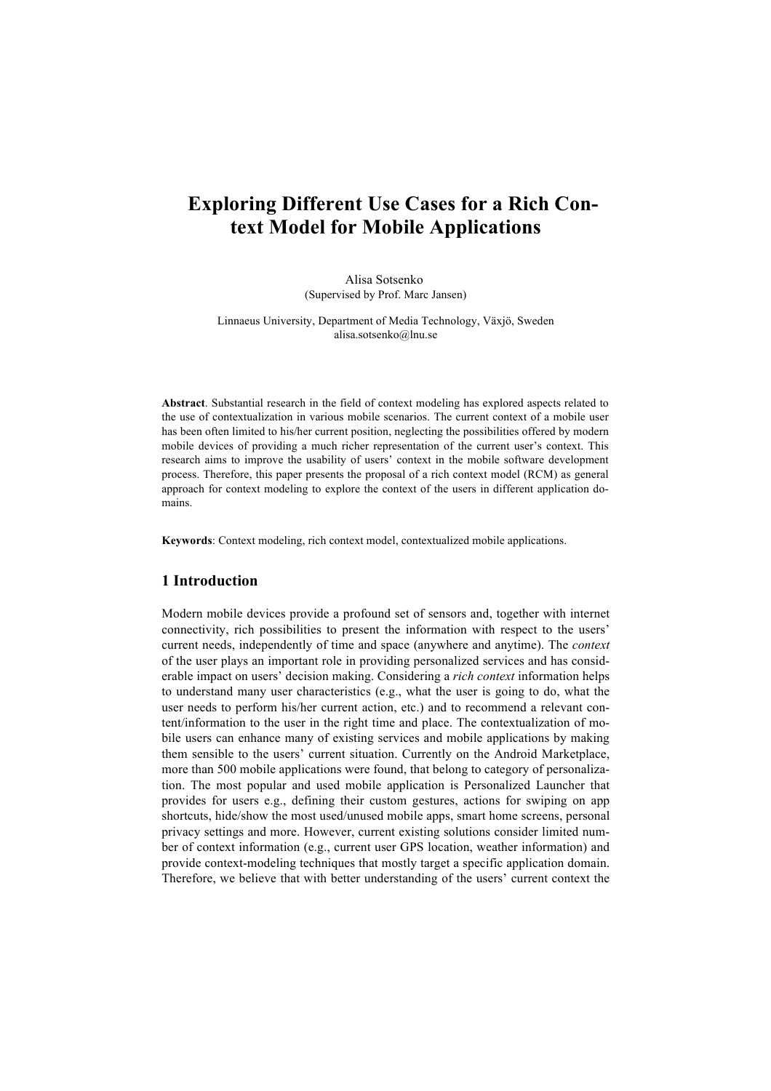# **Exploring Different Use Cases for a Rich Context Model for Mobile Applications**

Alisa Sotsenko (Supervised by Prof. Marc Jansen)

Linnaeus University, Department of Media Technology, Växjö, Sweden alisa.sotsenko@lnu.se

**Abstract**. Substantial research in the field of context modeling has explored aspects related to the use of contextualization in various mobile scenarios. The current context of a mobile user has been often limited to his/her current position, neglecting the possibilities offered by modern mobile devices of providing a much richer representation of the current user's context. This research aims to improve the usability of users' context in the mobile software development process. Therefore, this paper presents the proposal of a rich context model (RCM) as general approach for context modeling to explore the context of the users in different application domains.

**Keywords**: Context modeling, rich context model, contextualized mobile applications.

# **1 Introduction**

Modern mobile devices provide a profound set of sensors and, together with internet connectivity, rich possibilities to present the information with respect to the users' current needs, independently of time and space (anywhere and anytime). The *context* of the user plays an important role in providing personalized services and has considerable impact on users' decision making. Considering a *rich context* information helps to understand many user characteristics (e.g., what the user is going to do, what the user needs to perform his/her current action, etc.) and to recommend a relevant content/information to the user in the right time and place. The contextualization of mobile users can enhance many of existing services and mobile applications by making them sensible to the users' current situation. Currently on the Android Marketplace, more than 500 mobile applications were found, that belong to category of personalization. The most popular and used mobile application is Personalized Launcher that provides for users e.g., defining their custom gestures, actions for swiping on app shortcuts, hide/show the most used/unused mobile apps, smart home screens, personal privacy settings and more. However, current existing solutions consider limited number of context information (e.g., current user GPS location, weather information) and provide context-modeling techniques that mostly target a specific application domain. Therefore, we believe that with better understanding of the users' current context the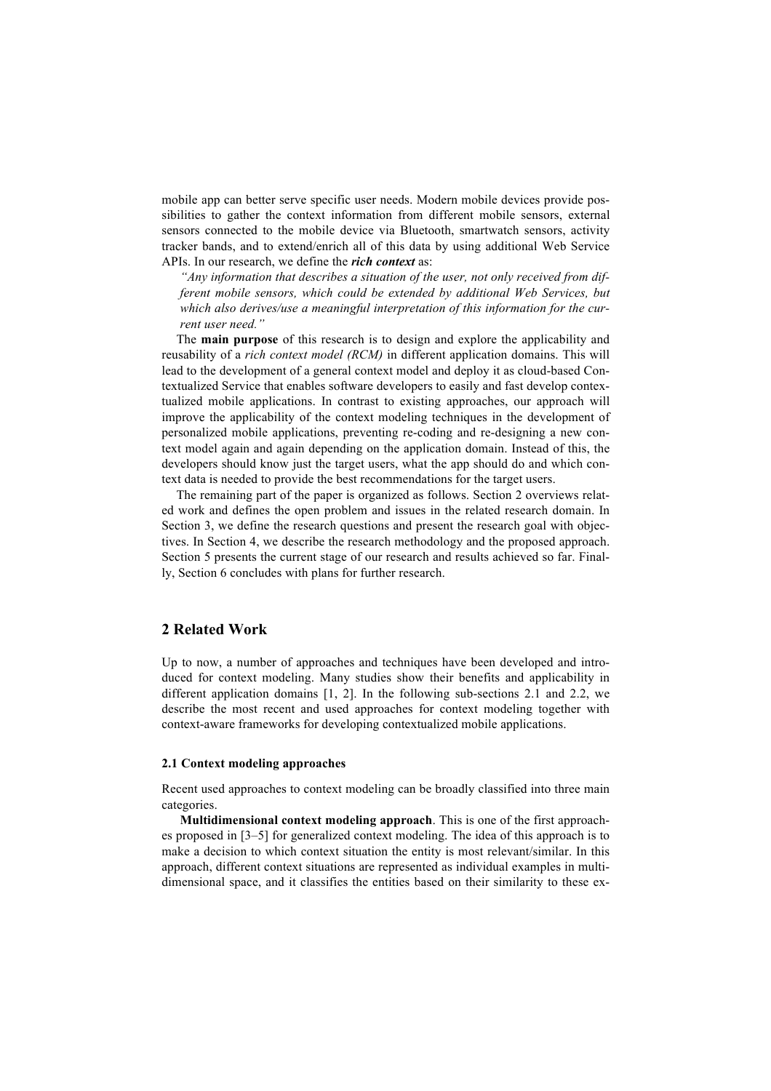mobile app can better serve specific user needs. Modern mobile devices provide possibilities to gather the context information from different mobile sensors, external sensors connected to the mobile device via Bluetooth, smartwatch sensors, activity tracker bands, and to extend/enrich all of this data by using additional Web Service APIs. In our research, we define the *rich context* as:

*"Any information that describes a situation of the user, not only received from different mobile sensors, which could be extended by additional Web Services, but which also derives/use a meaningful interpretation of this information for the current user need."*

The **main purpose** of this research is to design and explore the applicability and reusability of a *rich context model (RCM)* in different application domains. This will lead to the development of a general context model and deploy it as cloud-based Contextualized Service that enables software developers to easily and fast develop contextualized mobile applications. In contrast to existing approaches, our approach will improve the applicability of the context modeling techniques in the development of personalized mobile applications, preventing re-coding and re-designing a new context model again and again depending on the application domain. Instead of this, the developers should know just the target users, what the app should do and which context data is needed to provide the best recommendations for the target users.

The remaining part of the paper is organized as follows. Section 2 overviews related work and defines the open problem and issues in the related research domain. In Section 3, we define the research questions and present the research goal with objectives. In Section 4, we describe the research methodology and the proposed approach. Section 5 presents the current stage of our research and results achieved so far. Finally, Section 6 concludes with plans for further research.

# **2 Related Work**

Up to now, a number of approaches and techniques have been developed and introduced for context modeling. Many studies show their benefits and applicability in different application domains [1, 2]. In the following sub-sections 2.1 and 2.2, we describe the most recent and used approaches for context modeling together with context-aware frameworks for developing contextualized mobile applications.

#### **2.1 Context modeling approaches**

Recent used approaches to context modeling can be broadly classified into three main categories.

**Multidimensional context modeling approach**. This is one of the first approaches proposed in [3–5] for generalized context modeling. The idea of this approach is to make a decision to which context situation the entity is most relevant/similar. In this approach, different context situations are represented as individual examples in multidimensional space, and it classifies the entities based on their similarity to these ex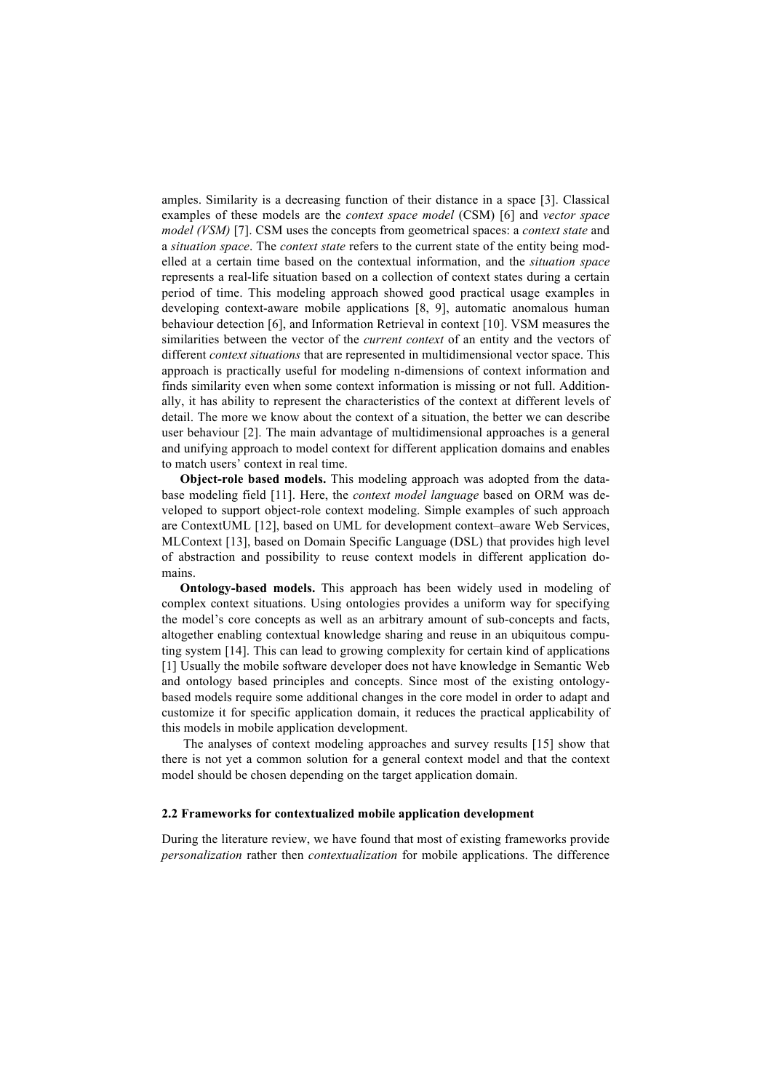amples. Similarity is a decreasing function of their distance in a space [3]. Classical examples of these models are the *context space model* (CSM) [6] and *vector space model (VSM)* [7]. CSM uses the concepts from geometrical spaces: a *context state* and a *situation space*. The *context state* refers to the current state of the entity being modelled at a certain time based on the contextual information, and the *situation space* represents a real-life situation based on a collection of context states during a certain period of time. This modeling approach showed good practical usage examples in developing context-aware mobile applications [8, 9], automatic anomalous human behaviour detection [6], and Information Retrieval in context [10]. VSM measures the similarities between the vector of the *current context* of an entity and the vectors of different *context situations* that are represented in multidimensional vector space. This approach is practically useful for modeling n-dimensions of context information and finds similarity even when some context information is missing or not full. Additionally, it has ability to represent the characteristics of the context at different levels of detail. The more we know about the context of a situation, the better we can describe user behaviour [2]. The main advantage of multidimensional approaches is a general and unifying approach to model context for different application domains and enables to match users' context in real time.

**Object-role based models.** This modeling approach was adopted from the database modeling field [11]. Here, the *context model language* based on ORM was developed to support object-role context modeling. Simple examples of such approach are ContextUML [12], based on UML for development context–aware Web Services, MLContext [13], based on Domain Specific Language (DSL) that provides high level of abstraction and possibility to reuse context models in different application domains.

**Ontology-based models.** This approach has been widely used in modeling of complex context situations. Using ontologies provides a uniform way for specifying the model's core concepts as well as an arbitrary amount of sub-concepts and facts, altogether enabling contextual knowledge sharing and reuse in an ubiquitous computing system [14]. This can lead to growing complexity for certain kind of applications [1] Usually the mobile software developer does not have knowledge in Semantic Web and ontology based principles and concepts. Since most of the existing ontologybased models require some additional changes in the core model in order to adapt and customize it for specific application domain, it reduces the practical applicability of this models in mobile application development.

The analyses of context modeling approaches and survey results [15] show that there is not yet a common solution for a general context model and that the context model should be chosen depending on the target application domain.

## **2.2 Frameworks for contextualized mobile application development**

During the literature review, we have found that most of existing frameworks provide *personalization* rather then *contextualization* for mobile applications. The difference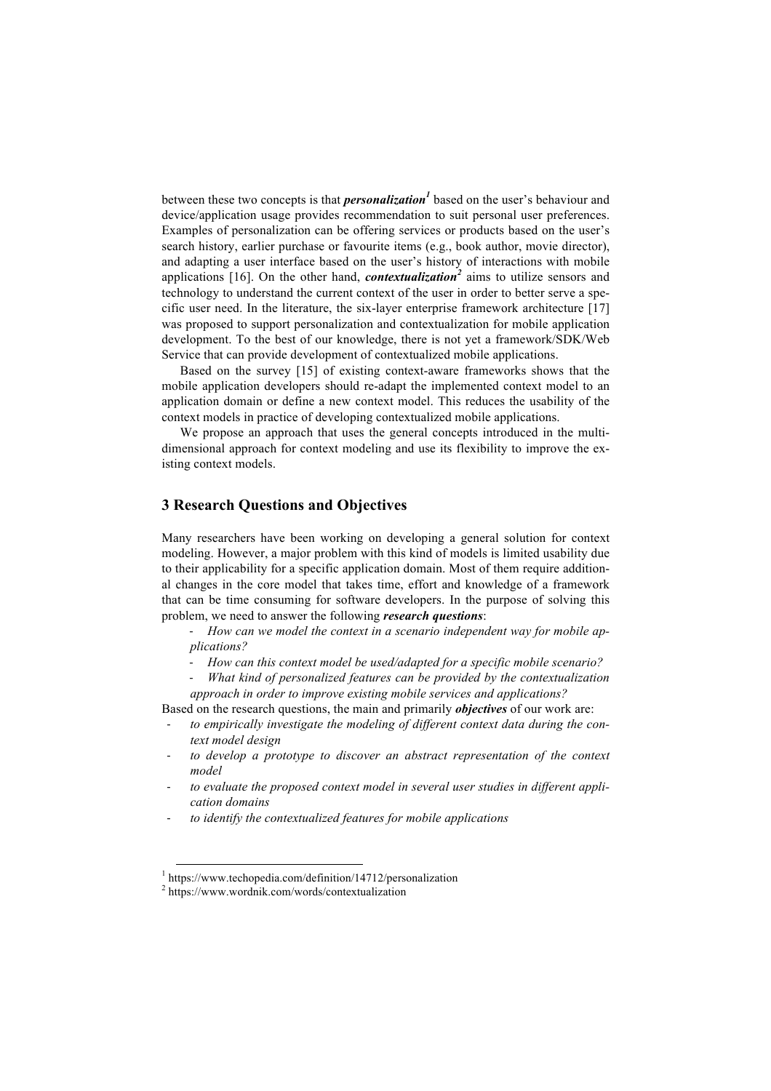between these two concepts is that *personalization<sup>1</sup>* based on the user's behaviour and device/application usage provides recommendation to suit personal user preferences. Examples of personalization can be offering services or products based on the user's search history, earlier purchase or favourite items (e.g., book author, movie director), and adapting a user interface based on the user's history of interactions with mobile applications [16]. On the other hand, *contextualization<sup>2</sup>* aims to utilize sensors and technology to understand the current context of the user in order to better serve a specific user need. In the literature, the six-layer enterprise framework architecture [17] was proposed to support personalization and contextualization for mobile application development. To the best of our knowledge, there is not yet a framework/SDK/Web Service that can provide development of contextualized mobile applications.

Based on the survey [15] of existing context-aware frameworks shows that the mobile application developers should re-adapt the implemented context model to an application domain or define a new context model. This reduces the usability of the context models in practice of developing contextualized mobile applications.

We propose an approach that uses the general concepts introduced in the multidimensional approach for context modeling and use its flexibility to improve the existing context models.

# **3 Research Questions and Objectives**

Many researchers have been working on developing a general solution for context modeling. However, a major problem with this kind of models is limited usability due to their applicability for a specific application domain. Most of them require additional changes in the core model that takes time, effort and knowledge of a framework that can be time consuming for software developers. In the purpose of solving this problem, we need to answer the following *research questions*:

- *How can we model the context in a scenario independent way for mobile applications?*

- *How can this context model be used/adapted for a specific mobile scenario?*
- *What kind of personalized features can be provided by the contextualization approach in order to improve existing mobile services and applications?*

Based on the research questions, the main and primarily *objectives* of our work are:

- to empirically investigate the modeling of different context data during the con*text model design*
- *to develop a prototype to discover an abstract representation of the context model*
- to evaluate the proposed context model in several user studies in different appli*cation domains*
- *to identify the contextualized features for mobile applications*

<sup>&</sup>lt;sup>1</sup> https://www.techopedia.com/definition/14712/personalization

<sup>2</sup> https://www.wordnik.com/words/contextualization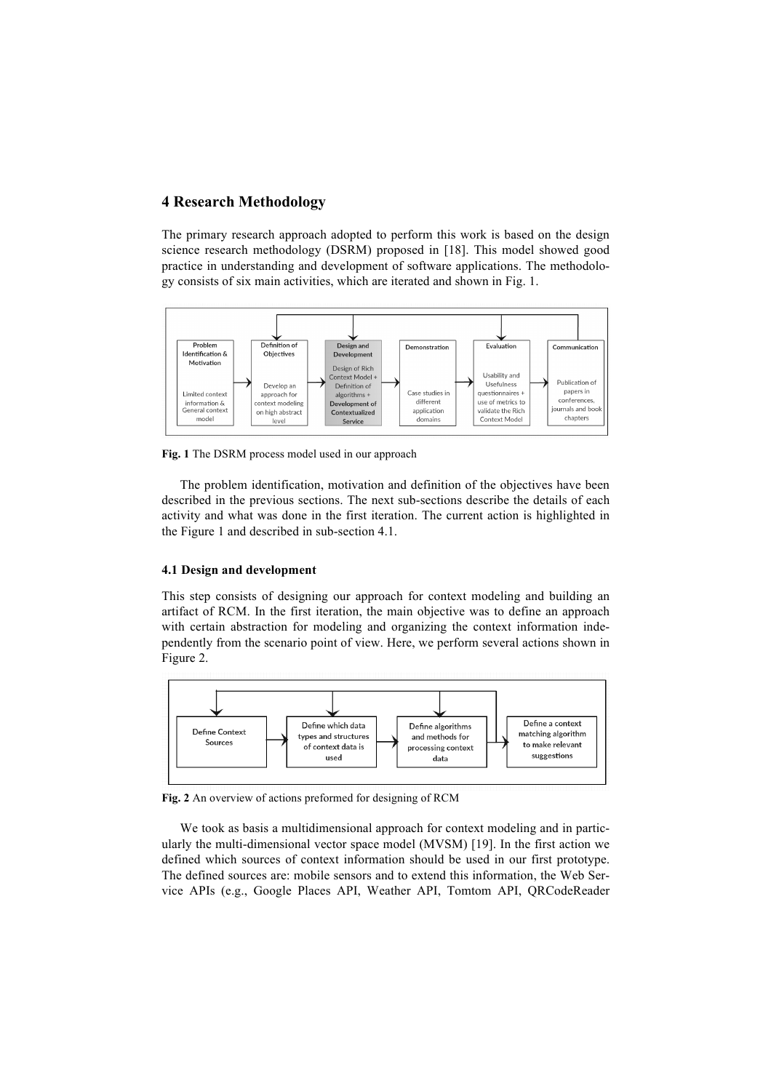# **4 Research Methodology**

The primary research approach adopted to perform this work is based on the design science research methodology (DSRM) proposed in [18]. This model showed good practice in understanding and development of software applications. The methodology consists of six main activities, which are iterated and shown in Fig. 1.



**Fig. 1** The DSRM process model used in our approach

The problem identification, motivation and definition of the objectives have been described in the previous sections. The next sub-sections describe the details of each activity and what was done in the first iteration. The current action is highlighted in the Figure 1 and described in sub-section 4.1.

#### **4.1 Design and development**

This step consists of designing our approach for context modeling and building an artifact of RCM. In the first iteration, the main objective was to define an approach with certain abstraction for modeling and organizing the context information independently from the scenario point of view. Here, we perform several actions shown in Figure 2.



**Fig. 2** An overview of actions preformed for designing of RCM

We took as basis a multidimensional approach for context modeling and in particularly the multi-dimensional vector space model (MVSM) [19]. In the first action we defined which sources of context information should be used in our first prototype. The defined sources are: mobile sensors and to extend this information, the Web Service APIs (e.g., Google Places API, Weather API, Tomtom API, QRCodeReader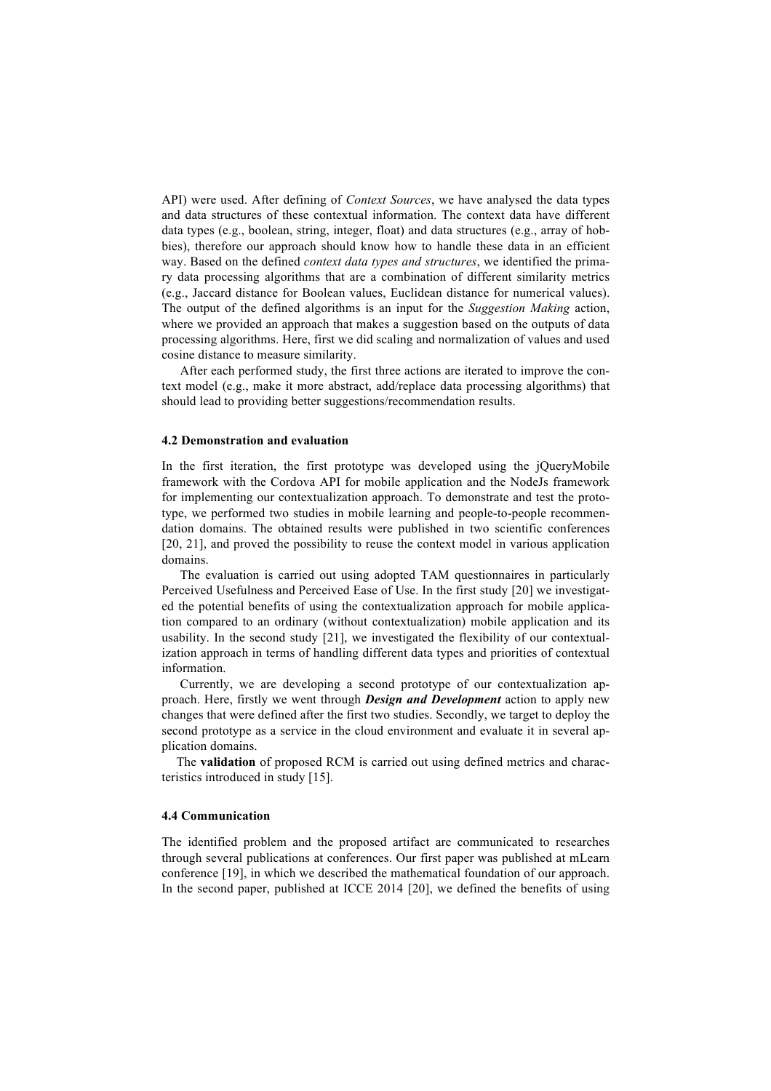API) were used. After defining of *Context Sources*, we have analysed the data types and data structures of these contextual information. The context data have different data types (e.g., boolean, string, integer, float) and data structures (e.g., array of hobbies), therefore our approach should know how to handle these data in an efficient way. Based on the defined *context data types and structures*, we identified the primary data processing algorithms that are a combination of different similarity metrics (e.g., Jaccard distance for Boolean values, Euclidean distance for numerical values). The output of the defined algorithms is an input for the *Suggestion Making* action, where we provided an approach that makes a suggestion based on the outputs of data processing algorithms. Here, first we did scaling and normalization of values and used cosine distance to measure similarity.

After each performed study, the first three actions are iterated to improve the context model (e.g., make it more abstract, add/replace data processing algorithms) that should lead to providing better suggestions/recommendation results.

#### **4.2 Demonstration and evaluation**

In the first iteration, the first prototype was developed using the jQueryMobile framework with the Cordova API for mobile application and the NodeJs framework for implementing our contextualization approach. To demonstrate and test the prototype, we performed two studies in mobile learning and people-to-people recommendation domains. The obtained results were published in two scientific conferences [20, 21], and proved the possibility to reuse the context model in various application domains.

The evaluation is carried out using adopted TAM questionnaires in particularly Perceived Usefulness and Perceived Ease of Use. In the first study [20] we investigated the potential benefits of using the contextualization approach for mobile application compared to an ordinary (without contextualization) mobile application and its usability. In the second study [21], we investigated the flexibility of our contextualization approach in terms of handling different data types and priorities of contextual information.

Currently, we are developing a second prototype of our contextualization approach. Here, firstly we went through *Design and Development* action to apply new changes that were defined after the first two studies. Secondly, we target to deploy the second prototype as a service in the cloud environment and evaluate it in several application domains.

The **validation** of proposed RCM is carried out using defined metrics and characteristics introduced in study [15].

## **4.4 Communication**

The identified problem and the proposed artifact are communicated to researches through several publications at conferences. Our first paper was published at mLearn conference [19], in which we described the mathematical foundation of our approach. In the second paper, published at ICCE 2014 [20], we defined the benefits of using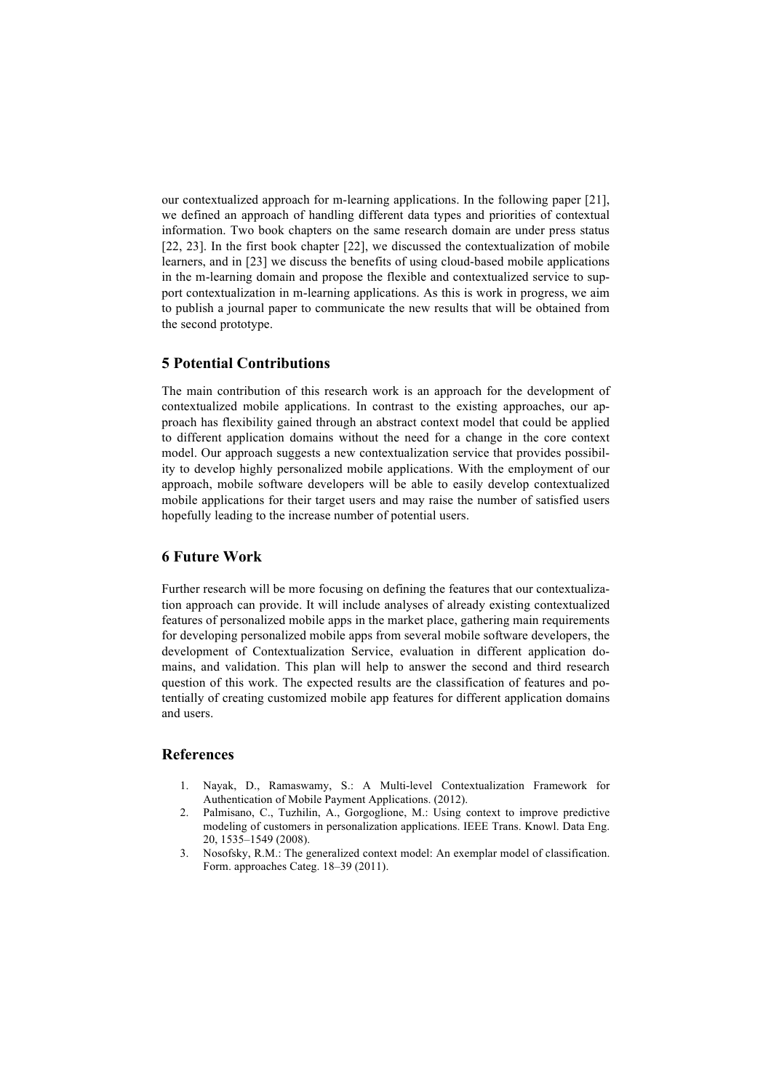our contextualized approach for m-learning applications. In the following paper [21], we defined an approach of handling different data types and priorities of contextual information. Two book chapters on the same research domain are under press status [22, 23]. In the first book chapter [22], we discussed the contextualization of mobile learners, and in [23] we discuss the benefits of using cloud-based mobile applications in the m-learning domain and propose the flexible and contextualized service to support contextualization in m-learning applications. As this is work in progress, we aim to publish a journal paper to communicate the new results that will be obtained from the second prototype.

# **5 Potential Contributions**

The main contribution of this research work is an approach for the development of contextualized mobile applications. In contrast to the existing approaches, our approach has flexibility gained through an abstract context model that could be applied to different application domains without the need for a change in the core context model. Our approach suggests a new contextualization service that provides possibility to develop highly personalized mobile applications. With the employment of our approach, mobile software developers will be able to easily develop contextualized mobile applications for their target users and may raise the number of satisfied users hopefully leading to the increase number of potential users.

## **6 Future Work**

Further research will be more focusing on defining the features that our contextualization approach can provide. It will include analyses of already existing contextualized features of personalized mobile apps in the market place, gathering main requirements for developing personalized mobile apps from several mobile software developers, the development of Contextualization Service, evaluation in different application domains, and validation. This plan will help to answer the second and third research question of this work. The expected results are the classification of features and potentially of creating customized mobile app features for different application domains and users.

## **References**

- 1. Nayak, D., Ramaswamy, S.: A Multi-level Contextualization Framework for Authentication of Mobile Payment Applications. (2012).
- 2. Palmisano, C., Tuzhilin, A., Gorgoglione, M.: Using context to improve predictive modeling of customers in personalization applications. IEEE Trans. Knowl. Data Eng. 20, 1535–1549 (2008).
- 3. Nosofsky, R.M.: The generalized context model: An exemplar model of classification. Form. approaches Categ. 18–39 (2011).